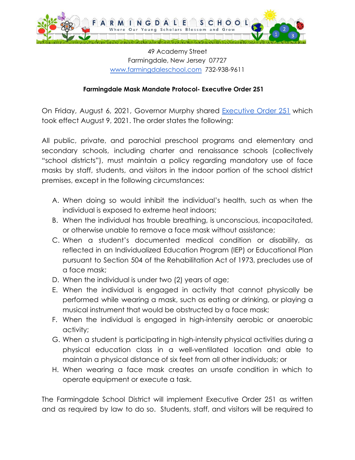

49 Academy Street Farmingdale, New Jersey 07727 [www.farmingdaleschool.com](http://www.farmingdaleschooo.com) 732-938-9611

## **Farmingdale Mask Mandate Protocol- Executive Order 251**

On Friday, August 6, 2021, Governor Murphy shared [Executive](https://nj.gov/infobank/eo/056murphy/pdf/EO-251.pdf) Order 251 which took effect August 9, 2021. The order states the following:

All public, private, and parochial preschool programs and elementary and secondary schools, including charter and renaissance schools (collectively "school districts"), must maintain a policy regarding mandatory use of face masks by staff, students, and visitors in the indoor portion of the school district premises, except in the following circumstances:

- A. When doing so would inhibit the individual's health, such as when the individual is exposed to extreme heat indoors;
- B. When the individual has trouble breathing, is unconscious, incapacitated, or otherwise unable to remove a face mask without assistance;
- C. When a student's documented medical condition or disability, as reflected in an Individualized Education Program (IEP) or Educational Plan pursuant to Section 504 of the Rehabilitation Act of 1973, precludes use of a face mask;
- D. When the individual is under two (2) years of age;
- E. When the individual is engaged in activity that cannot physically be performed while wearing a mask, such as eating or drinking, or playing a musical instrument that would be obstructed by a face mask;
- F. When the individual is engaged in high-intensity aerobic or anaerobic activity;
- G. When a student is participating in high-intensity physical activities during a physical education class in a well-ventilated location and able to maintain a physical distance of six feet from all other individuals; or
- H. When wearing a face mask creates an unsafe condition in which to operate equipment or execute a task.

The Farmingdale School District will implement Executive Order 251 as written and as required by law to do so. Students, staff, and visitors will be required to